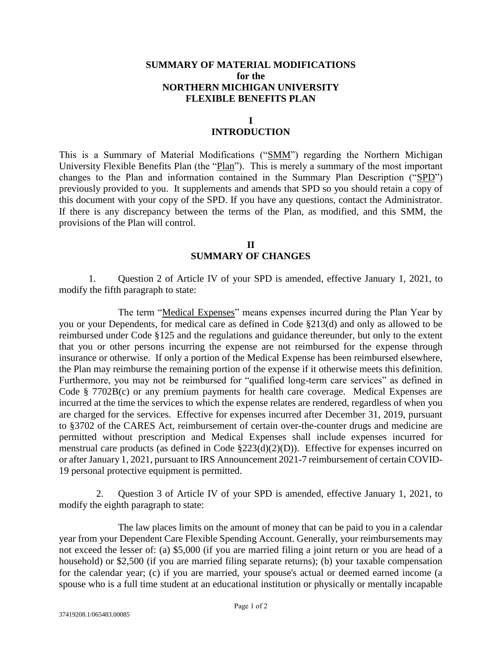## **SUMMARY OF MATERIAL MODIFICATIONS for the NORTHERN MICHIGAN UNIVERSITY FLEXIBLE BENEFITS PLAN**

## **I**

## **INTRODUCTION**

This is a Summary of Material Modifications ("SMM") regarding the Northern Michigan University Flexible Benefits Plan (the "Plan"). This is merely a summary of the most important changes to the Plan and information contained in the Summary Plan Description ("SPD") previously provided to you. It supplements and amends that SPD so you should retain a copy of this document with your copy of the SPD. If you have any questions, contact the Administrator. If there is any discrepancy between the terms of the Plan, as modified, and this SMM, the provisions of the Plan will control.

> **II SUMMARY OF CHANGES**

1. Question 2 of Article IV of your SPD is amended, effective January 1, 2021, to modify the fifth paragraph to state:

The term "Medical Expenses" means expenses incurred during the Plan Year by you or your Dependents, for medical care as defined in Code §213(d) and only as allowed to be reimbursed under Code §125 and the regulations and guidance thereunder, but only to the extent that you or other persons incurring the expense are not reimbursed for the expense through insurance or otherwise. If only a portion of the Medical Expense has been reimbursed elsewhere, the Plan may reimburse the remaining portion of the expense if it otherwise meets this definition. Furthermore, you may not be reimbursed for "qualified long-term care services" as defined in Code § 7702B(c) or any premium payments for health care coverage. Medical Expenses are incurred at the time the services to which the expense relates are rendered, regardless of when you are charged for the services. Effective for expenses incurred after December 31, 2019, pursuant to §3702 of the CARES Act, reimbursement of certain over-the-counter drugs and medicine are permitted without prescription and Medical Expenses shall include expenses incurred for menstrual care products (as defined in Code §223(d)(2)(D)). Effective for expenses incurred on or after January 1, 2021, pursuant to IRS Announcement 2021-7 reimbursement of certain COVID-19 personal protective equipment is permitted.

2. Question 3 of Article IV of your SPD is amended, effective January 1, 2021, to modify the eighth paragraph to state:

The law places limits on the amount of money that can be paid to you in a calendar year from your Dependent Care Flexible Spending Account. Generally, your reimbursements may not exceed the lesser of: (a) \$5,000 (if you are married filing a joint return or you are head of a household) or \$2,500 (if you are married filing separate returns); (b) your taxable compensation for the calendar year; (c) if you are married, your spouse's actual or deemed earned income (a spouse who is a full time student at an educational institution or physically or mentally incapable